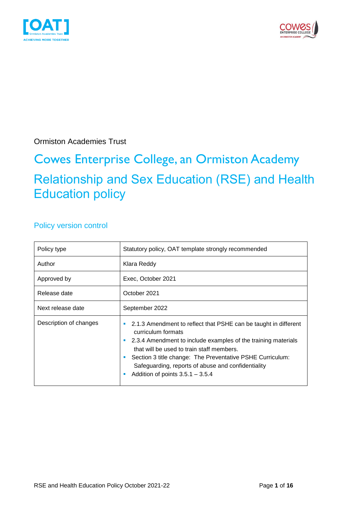



Ormiston Academies Trust

# Cowes Enterprise College, an Ormiston Academy Relationship and Sex Education (RSE) and Health Education policy

# Policy version control

| Policy type            | Statutory policy, OAT template strongly recommended                                                                                                                                                                                                                                                                                                               |  |  |
|------------------------|-------------------------------------------------------------------------------------------------------------------------------------------------------------------------------------------------------------------------------------------------------------------------------------------------------------------------------------------------------------------|--|--|
| Author                 | Klara Reddy                                                                                                                                                                                                                                                                                                                                                       |  |  |
| Approved by            | Exec, October 2021<br>October 2021<br>September 2022                                                                                                                                                                                                                                                                                                              |  |  |
| Release date           |                                                                                                                                                                                                                                                                                                                                                                   |  |  |
| Next release date      |                                                                                                                                                                                                                                                                                                                                                                   |  |  |
| Description of changes | 2.1.3 Amendment to reflect that PSHE can be taught in different<br>ш<br>curriculum formats<br>2.3.4 Amendment to include examples of the training materials<br>that will be used to train staff members.<br>Section 3 title change: The Preventative PSHE Curriculum:<br>Safeguarding, reports of abuse and confidentiality<br>Addition of points $3.5.1 - 3.5.4$ |  |  |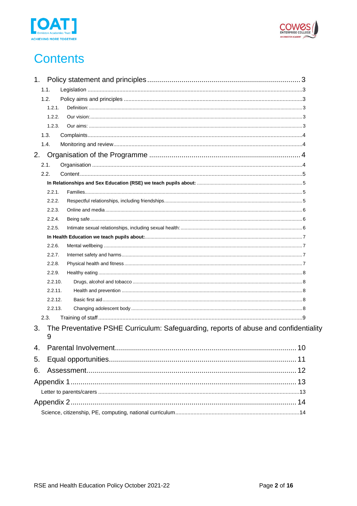



# **Contents**

| 1. |         |                                                                                      |  |
|----|---------|--------------------------------------------------------------------------------------|--|
|    | 1.1.    |                                                                                      |  |
|    | 1.2.    |                                                                                      |  |
|    | 1.2.1.  |                                                                                      |  |
|    | 1.2.2.  |                                                                                      |  |
|    | 1.2.3.  |                                                                                      |  |
|    | 1.3.    |                                                                                      |  |
|    | 1.4.    |                                                                                      |  |
| 2. |         |                                                                                      |  |
|    | 2.1.    |                                                                                      |  |
|    | 2.2.    |                                                                                      |  |
|    |         |                                                                                      |  |
|    | 2.2.1.  |                                                                                      |  |
|    | 2.2.2.  |                                                                                      |  |
|    | 2.2.3.  |                                                                                      |  |
|    | 2.2.4.  |                                                                                      |  |
|    | 2.2.5.  |                                                                                      |  |
|    |         |                                                                                      |  |
|    | 2.2.6.  |                                                                                      |  |
|    | 2.2.7.  |                                                                                      |  |
|    | 2.2.8.  |                                                                                      |  |
|    | 2.2.9.  |                                                                                      |  |
|    | 2.2.10. |                                                                                      |  |
|    | 2.2.11. |                                                                                      |  |
|    | 2.2.12. |                                                                                      |  |
|    | 2.2.13. |                                                                                      |  |
|    | 2.3.    |                                                                                      |  |
| 3. | 9       | The Preventative PSHE Curriculum: Safeguarding, reports of abuse and confidentiality |  |
| 4. |         |                                                                                      |  |
| 5. |         |                                                                                      |  |
| 6. |         |                                                                                      |  |
|    |         |                                                                                      |  |
|    |         |                                                                                      |  |
|    |         |                                                                                      |  |
|    |         |                                                                                      |  |
|    |         |                                                                                      |  |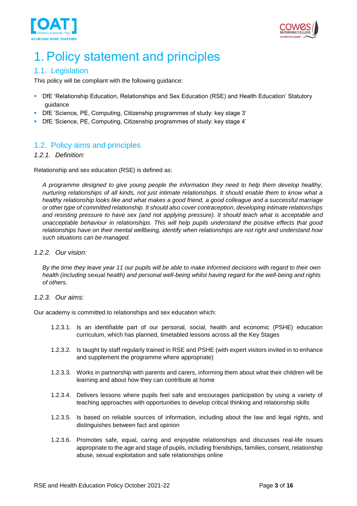



# <span id="page-2-0"></span>1. Policy statement and principles

# <span id="page-2-1"></span>1.1. Legislation

This policy will be compliant with the following guidance:

- DfE 'Relationship Education, Relationships and Sex Education (RSE) and Health Education' Statutory guidance
- DfE 'Science, PE, Computing, Citizenship programmes of study: key stage 3'
- DfE 'Science, PE, Computing, Citizenship programmes of study: key stage 4'

# <span id="page-2-2"></span>1.2. Policy aims and principles

## <span id="page-2-3"></span>*1.2.1. Definition:*

Relationship and sex education (RSE) is defined as:

*A programme designed to give young people the information they need to help them develop healthy, nurturing relationships of all kinds, not just intimate relationships. It should enable them to know what a healthy relationship looks like and what makes a good friend, a good colleague and a successful marriage or other type of committed relationship. It should also cover contraception, developing intimate relationships and resisting pressure to have sex (and not applying pressure). It should teach what is acceptable and unacceptable behaviour in relationships. This will help pupils understand the positive effects that good relationships have on their mental wellbeing, identify when relationships are not right and understand how such situations can be managed.*

### <span id="page-2-4"></span>*1.2.2. Our vision:*

*By the time they leave year 11 our pupils will be able to make informed decisions with regard to their own health (including sexual health) and personal well-being whilst having regard for the well-being and rights of others.*

### <span id="page-2-5"></span>*1.2.3. Our aims:*

Our academy is committed to relationships and sex education which:

- 1.2.3.1. Is an identifiable part of our personal, social, health and economic (PSHE) education curriculum, which has planned, timetabled lessons across all the Key Stages
- 1.2.3.2. Is taught by staff regularly trained in RSE and PSHE (with expert visitors invited in to enhance and supplement the programme where appropriate)
- 1.2.3.3. Works in partnership with parents and carers, informing them about what their children will be learning and about how they can contribute at home
- 1.2.3.4. Delivers lessons where pupils feel safe and encourages participation by using a variety of teaching approaches with opportunities to develop critical thinking and relationship skills
- 1.2.3.5. Is based on reliable sources of information, including about the law and legal rights, and distinguishes between fact and opinion
- 1.2.3.6. Promotes safe, equal, caring and enjoyable relationships and discusses real-life issues appropriate to the age and stage of pupils, including friendships, families, consent, relationship abuse, sexual exploitation and safe relationships online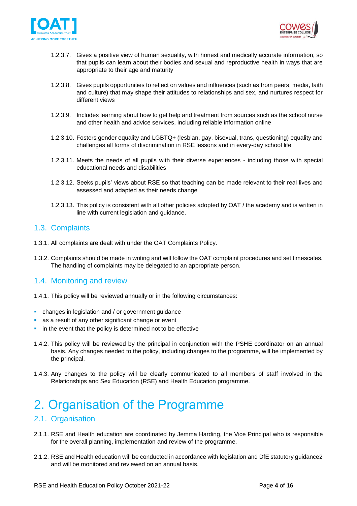



- 1.2.3.7. Gives a positive view of human sexuality, with honest and medically accurate information, so that pupils can learn about their bodies and sexual and reproductive health in ways that are appropriate to their age and maturity
- 1.2.3.8. Gives pupils opportunities to reflect on values and influences (such as from peers, media, faith and culture) that may shape their attitudes to relationships and sex, and nurtures respect for different views
- 1.2.3.9. Includes learning about how to get help and treatment from sources such as the school nurse and other health and advice services, including reliable information online
- 1.2.3.10. Fosters gender equality and LGBTQ+ (lesbian, gay, bisexual, trans, questioning) equality and challenges all forms of discrimination in RSE lessons and in every-day school life
- 1.2.3.11. Meets the needs of all pupils with their diverse experiences including those with special educational needs and disabilities
- 1.2.3.12. Seeks pupils' views about RSE so that teaching can be made relevant to their real lives and assessed and adapted as their needs change
- 1.2.3.13. This policy is consistent with all other policies adopted by OAT / the academy and is written in line with current legislation and guidance.

# <span id="page-3-0"></span>1.3. Complaints

- 1.3.1. All complaints are dealt with under the OAT Complaints Policy.
- 1.3.2. Complaints should be made in writing and will follow the OAT complaint procedures and set timescales. The handling of complaints may be delegated to an appropriate person.

# <span id="page-3-1"></span>1.4. Monitoring and review

- 1.4.1. This policy will be reviewed annually or in the following circumstances:
- changes in legislation and / or government guidance
- as a result of any other significant change or event
- in the event that the policy is determined not to be effective
- 1.4.2. This policy will be reviewed by the principal in conjunction with the PSHE coordinator on an annual basis. Any changes needed to the policy, including changes to the programme, will be implemented by the principal.
- 1.4.3. Any changes to the policy will be clearly communicated to all members of staff involved in the Relationships and Sex Education (RSE) and Health Education programme.

# <span id="page-3-2"></span>2. Organisation of the Programme

# <span id="page-3-3"></span>2.1. Organisation

- 2.1.1. RSE and Health education are coordinated by Jemma Harding, the Vice Principal who is responsible for the overall planning, implementation and review of the programme.
- 2.1.2. RSE and Health education will be conducted in accordance with legislation and DfE statutory guidance2 and will be monitored and reviewed on an annual basis.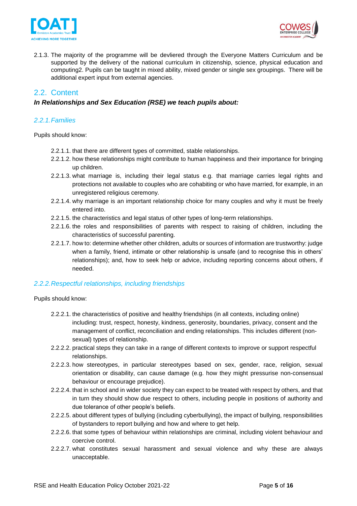



2.1.3. The majority of the programme will be devliered through the Everyone Matters Curriculum and be supported by the delivery of the national curriculum in citizenship, science, physical education and computing2. Pupils can be taught in mixed ability, mixed gender or single sex groupings. There will be additional expert input from external agencies.

# <span id="page-4-0"></span>2.2. Content

## <span id="page-4-1"></span>*In Relationships and Sex Education (RSE) we teach pupils about:*

### <span id="page-4-2"></span>*2.2.1.Families*

Pupils should know:

- 2.2.1.1. that there are different types of committed, stable relationships.
- 2.2.1.2. how these relationships might contribute to human happiness and their importance for bringing up children.
- 2.2.1.3. what marriage is, including their legal status e.g. that marriage carries legal rights and protections not available to couples who are cohabiting or who have married, for example, in an unregistered religious ceremony.
- 2.2.1.4. why marriage is an important relationship choice for many couples and why it must be freely entered into.
- 2.2.1.5. the characteristics and legal status of other types of long-term relationships.
- 2.2.1.6. the roles and responsibilities of parents with respect to raising of children, including the characteristics of successful parenting.
- 2.2.1.7. how to: determine whether other children, adults or sources of information are trustworthy: judge when a family, friend, intimate or other relationship is unsafe (and to recognise this in others' relationships); and, how to seek help or advice, including reporting concerns about others, if needed.

### <span id="page-4-3"></span>*2.2.2.Respectful relationships, including friendships*

- 2.2.2.1. the characteristics of positive and healthy friendships (in all contexts, including online) including: trust, respect, honesty, kindness, generosity, boundaries, privacy, consent and the management of conflict, reconciliation and ending relationships. This includes different (nonsexual) types of relationship.
- 2.2.2.2. practical steps they can take in a range of different contexts to improve or support respectful relationships.
- 2.2.2.3. how stereotypes, in particular stereotypes based on sex, gender, race, religion, sexual orientation or disability, can cause damage (e.g. how they might pressurise non-consensual behaviour or encourage prejudice).
- 2.2.2.4. that in school and in wider society they can expect to be treated with respect by others, and that in turn they should show due respect to others, including people in positions of authority and due tolerance of other people's beliefs.
- 2.2.2.5. about different types of bullying (including cyberbullying), the impact of bullying, responsibilities of bystanders to report bullying and how and where to get help.
- 2.2.2.6. that some types of behaviour within relationships are criminal, including violent behaviour and coercive control.
- 2.2.2.7. what constitutes sexual harassment and sexual violence and why these are always unacceptable.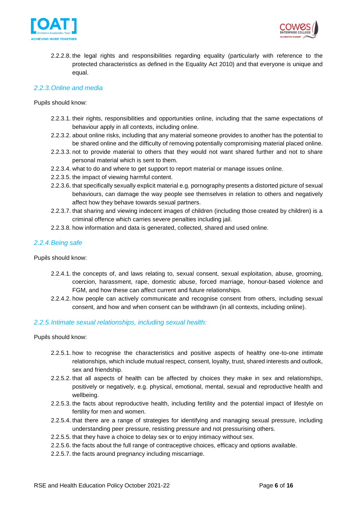



2.2.2.8. the legal rights and responsibilities regarding equality (particularly with reference to the protected characteristics as defined in the Equality Act 2010) and that everyone is unique and equal.

## <span id="page-5-0"></span>*2.2.3.Online and media*

#### Pupils should know:

- 2.2.3.1. their rights, responsibilities and opportunities online, including that the same expectations of behaviour apply in all contexts, including online.
- 2.2.3.2. about online risks, including that any material someone provides to another has the potential to be shared online and the difficulty of removing potentially compromising material placed online.
- 2.2.3.3. not to provide material to others that they would not want shared further and not to share personal material which is sent to them.
- 2.2.3.4. what to do and where to get support to report material or manage issues online.
- 2.2.3.5. the impact of viewing harmful content.
- 2.2.3.6. that specifically sexually explicit material e.g. pornography presents a distorted picture of sexual behaviours, can damage the way people see themselves in relation to others and negatively affect how they behave towards sexual partners.
- 2.2.3.7. that sharing and viewing indecent images of children (including those created by children) is a criminal offence which carries severe penalties including jail.
- 2.2.3.8. how information and data is generated, collected, shared and used online.

### <span id="page-5-1"></span>*2.2.4.Being safe*

Pupils should know:

- 2.2.4.1. the concepts of, and laws relating to, sexual consent, sexual exploitation, abuse, grooming, coercion, harassment, rape, domestic abuse, forced marriage, honour-based violence and FGM, and how these can affect current and future relationships.
- 2.2.4.2. how people can actively communicate and recognise consent from others, including sexual consent, and how and when consent can be withdrawn (in all contexts, including online).

### <span id="page-5-2"></span>*2.2.5.Intimate sexual relationships, including sexual health:*

- 2.2.5.1. how to recognise the characteristics and positive aspects of healthy one-to-one intimate relationships, which include mutual respect, consent, loyalty, trust, shared interests and outlook, sex and friendship.
- 2.2.5.2. that all aspects of health can be affected by choices they make in sex and relationships, positively or negatively, e.g. physical, emotional, mental, sexual and reproductive health and wellbeing.
- 2.2.5.3. the facts about reproductive health, including fertility and the potential impact of lifestyle on fertility for men and women.
- 2.2.5.4. that there are a range of strategies for identifying and managing sexual pressure, including understanding peer pressure, resisting pressure and not pressurising others.
- 2.2.5.5. that they have a choice to delay sex or to enjoy intimacy without sex.
- 2.2.5.6. the facts about the full range of contraceptive choices, efficacy and options available.
- 2.2.5.7. the facts around pregnancy including miscarriage.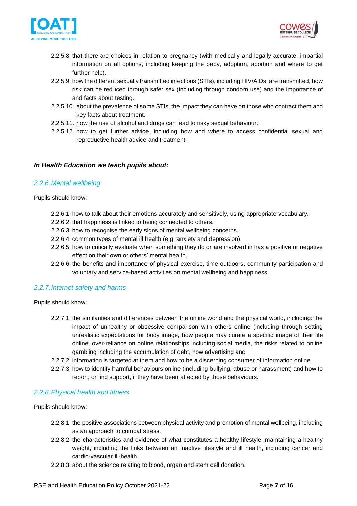



- 2.2.5.8. that there are choices in relation to pregnancy (with medically and legally accurate, impartial information on all options, including keeping the baby, adoption, abortion and where to get further help).
- 2.2.5.9. how the different sexually transmitted infections (STIs), including HIV/AIDs, are transmitted, how risk can be reduced through safer sex (including through condom use) and the importance of and facts about testing.
- 2.2.5.10. about the prevalence of some STIs, the impact they can have on those who contract them and key facts about treatment.
- 2.2.5.11. how the use of alcohol and drugs can lead to risky sexual behaviour.
- 2.2.5.12. how to get further advice, including how and where to access confidential sexual and reproductive health advice and treatment.

## <span id="page-6-0"></span>*In Health Education we teach pupils about:*

### <span id="page-6-1"></span>*2.2.6.Mental wellbeing*

Pupils should know:

- 2.2.6.1. how to talk about their emotions accurately and sensitively, using appropriate vocabulary.
- 2.2.6.2. that happiness is linked to being connected to others.
- 2.2.6.3. how to recognise the early signs of mental wellbeing concerns.
- 2.2.6.4. common types of mental ill health (e.g. anxiety and depression).
- 2.2.6.5. how to critically evaluate when something they do or are involved in has a positive or negative effect on their own or others' mental health.
- 2.2.6.6. the benefits and importance of physical exercise, time outdoors, community participation and voluntary and service-based activities on mental wellbeing and happiness.

### <span id="page-6-2"></span>*2.2.7.Internet safety and harms*

Pupils should know:

- 2.2.7.1. the similarities and differences between the online world and the physical world, including: the impact of unhealthy or obsessive comparison with others online (including through setting unrealistic expectations for body image, how people may curate a specific image of their life online, over-reliance on online relationships including social media, the risks related to online gambling including the accumulation of debt, how advertising and
- 2.2.7.2. information is targeted at them and how to be a discerning consumer of information online.
- 2.2.7.3. how to identify harmful behaviours online (including bullying, abuse or harassment) and how to report, or find support, if they have been affected by those behaviours.

### <span id="page-6-3"></span>*2.2.8.Physical health and fitness*

- 2.2.8.1. the positive associations between physical activity and promotion of mental wellbeing, including as an approach to combat stress.
- 2.2.8.2. the characteristics and evidence of what constitutes a healthy lifestyle, maintaining a healthy weight, including the links between an inactive lifestyle and ill health, including cancer and cardio-vascular ill-health.
- 2.2.8.3. about the science relating to blood, organ and stem cell donation.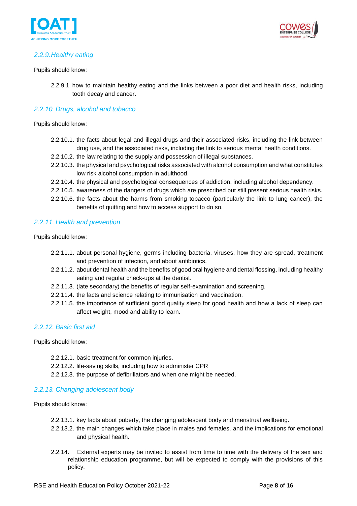



# <span id="page-7-0"></span>*2.2.9.Healthy eating*

#### Pupils should know:

2.2.9.1. how to maintain healthy eating and the links between a poor diet and health risks, including tooth decay and cancer.

## <span id="page-7-1"></span>*2.2.10. Drugs, alcohol and tobacco*

Pupils should know:

- 2.2.10.1. the facts about legal and illegal drugs and their associated risks, including the link between drug use, and the associated risks, including the link to serious mental health conditions.
- 2.2.10.2. the law relating to the supply and possession of illegal substances.
- 2.2.10.3. the physical and psychological risks associated with alcohol consumption and what constitutes low risk alcohol consumption in adulthood.
- 2.2.10.4. the physical and psychological consequences of addiction, including alcohol dependency.
- 2.2.10.5. awareness of the dangers of drugs which are prescribed but still present serious health risks.
- 2.2.10.6. the facts about the harms from smoking tobacco (particularly the link to lung cancer), the benefits of quitting and how to access support to do so.

## <span id="page-7-2"></span>*2.2.11. Health and prevention*

Pupils should know:

- 2.2.11.1. about personal hygiene, germs including bacteria, viruses, how they are spread, treatment and prevention of infection, and about antibiotics.
- 2.2.11.2. about dental health and the benefits of good oral hygiene and dental flossing, including healthy eating and regular check-ups at the dentist.
- 2.2.11.3. (late secondary) the benefits of regular self-examination and screening.
- 2.2.11.4. the facts and science relating to immunisation and vaccination.
- 2.2.11.5. the importance of sufficient good quality sleep for good health and how a lack of sleep can affect weight, mood and ability to learn.

### <span id="page-7-3"></span>*2.2.12. Basic first aid*

Pupils should know:

- 2.2.12.1. basic treatment for common injuries.
- 2.2.12.2. life-saving skills, including how to administer CPR
- 2.2.12.3. the purpose of defibrillators and when one might be needed.

### <span id="page-7-4"></span>*2.2.13. Changing adolescent body*

- 2.2.13.1. key facts about puberty, the changing adolescent body and menstrual wellbeing.
- 2.2.13.2. the main changes which take place in males and females, and the implications for emotional and physical health.
- 2.2.14. External experts may be invited to assist from time to time with the delivery of the sex and relationship education programme, but will be expected to comply with the provisions of this policy.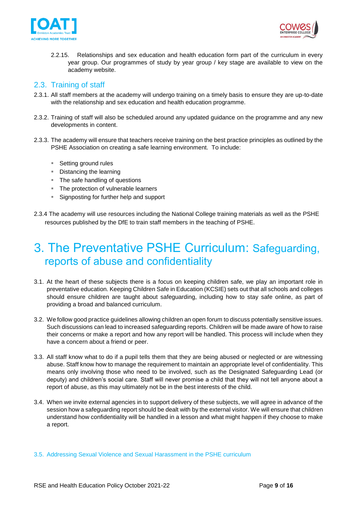



2.2.15. Relationships and sex education and health education form part of the curriculum in every year group. Our programmes of study by year group / key stage are available to view on the academy website.

# <span id="page-8-0"></span>2.3. Training of staff

- 2.3.1. All staff members at the academy will undergo training on a timely basis to ensure they are up-to-date with the relationship and sex education and health education programme.
- 2.3.2. Training of staff will also be scheduled around any updated guidance on the programme and any new developments in content.
- 2.3.3. The academy will ensure that teachers receive training on the best practice principles as outlined by the PSHE Association on creating a safe learning environment. To include:
	- Setting ground rules
	- Distancing the learning
	- The safe handling of questions
	- The protection of vulnerable learners
	- Signposting for further help and support
- 2.3.4 The academy will use resources including the National College training materials as well as the PSHE resources published by the DfE to train staff members in the teaching of PSHE.

# <span id="page-8-1"></span>3. The Preventative PSHE Curriculum: Safeguarding, reports of abuse and confidentiality

- 3.1. At the heart of these subjects there is a focus on keeping children safe, we play an important role in preventative education. Keeping Children Safe in Education (KCSIE) sets out that all schools and colleges should ensure children are taught about safeguarding, including how to stay safe online, as part of providing a broad and balanced curriculum.
- 3.2. We follow good practice guidelines allowing children an open forum to discuss potentially sensitive issues. Such discussions can lead to increased safeguarding reports. Children will be made aware of how to raise their concerns or make a report and how any report will be handled. This process will include when they have a concern about a friend or peer.
- 3.3. All staff know what to do if a pupil tells them that they are being abused or neglected or are witnessing abuse. Staff know how to manage the requirement to maintain an appropriate level of confidentiality. This means only involving those who need to be involved, such as the Designated Safeguarding Lead (or deputy) and children's social care. Staff will never promise a child that they will not tell anyone about a report of abuse, as this may ultimately not be in the best interests of the child.
- 3.4. When we invite external agencies in to support delivery of these subjects, we will agree in advance of the session how a safeguarding report should be dealt with by the external visitor. We will ensure that children understand how confidentiality will be handled in a lesson and what might happen if they choose to make a report.
- 3.5. Addressing Sexual Violence and Sexual Harassment in the PSHE curriculum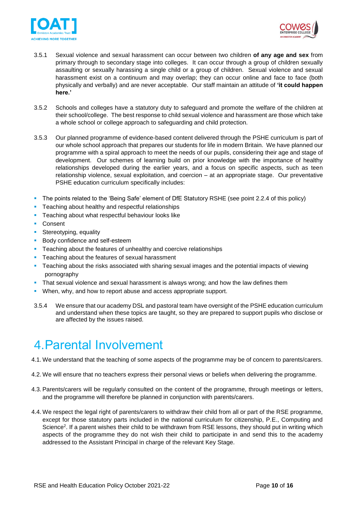



- 3.5.1 Sexual violence and sexual harassment can occur between two children **of any age and sex** from primary through to secondary stage into colleges. It can occur through a group of children sexually assaulting or sexually harassing a single child or a group of children. Sexual violence and sexual harassment exist on a continuum and may overlap; they can occur online and face to face (both physically and verbally) and are never acceptable. Our staff maintain an attitude of **'it could happen here.'**
- 3.5.2 Schools and colleges have a statutory duty to safeguard and promote the welfare of the children at their school/college. The best response to child sexual violence and harassment are those which take a whole school or college approach to safeguarding and child protection.
- 3.5.3 Our planned programme of evidence-based content delivered through the PSHE curriculum is part of our whole school approach that prepares our students for life in modern Britain. We have planned our programme with a spiral approach to meet the needs of our pupils, considering their age and stage of development. Our schemes of learning build on prior knowledge with the importance of healthy relationships developed during the earlier years, and a focus on specific aspects, such as teen relationship violence, sexual exploitation, and coercion – at an appropriate stage. Our preventative PSHE education curriculum specifically includes:
- The points related to the 'Being Safe' element of DfE Statutory RSHE (see point 2.2.4 of this policy)
- **•** Teaching about healthy and respectful relationships
- **EXEC** Teaching about what respectful behaviour looks like
- Consent
- **•** Stereotyping, equality
- Body confidence and self-esteem
- **EXEC** Teaching about the features of unhealthy and coercive relationships
- **Teaching about the features of sexual harassment**
- **•** Teaching about the risks associated with sharing sexual images and the potential impacts of viewing pornography
- **•** That sexual violence and sexual harassment is always wrong; and how the law defines them
- **When, why, and how to report abuse and access appropriate support.**
- 3.5.4 We ensure that our academy DSL and pastoral team have oversight of the PSHE education curriculum and understand when these topics are taught, so they are prepared to support pupils who disclose or are affected by the issues raised.

# <span id="page-9-0"></span>4.Parental Involvement

- 4.1. We understand that the teaching of some aspects of the programme may be of concern to parents/carers.
- 4.2. We will ensure that no teachers express their personal views or beliefs when delivering the programme.
- 4.3. Parents/carers will be regularly consulted on the content of the programme, through meetings or letters, and the programme will therefore be planned in conjunction with parents/carers.
- 4.4. We respect the legal right of parents/carers to withdraw their child from all or part of the RSE programme, except for those statutory parts included in the national curriculum for citizenship, P.E., Computing and Science<sup>2</sup>. If a parent wishes their child to be withdrawn from RSE lessons, they should put in writing which aspects of the programme they do not wish their child to participate in and send this to the academy addressed to the Assistant Principal in charge of the relevant Key Stage.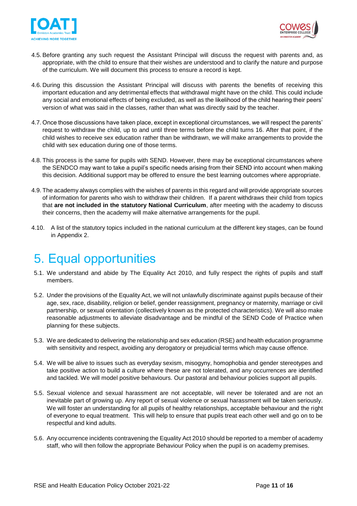



- 4.5. Before granting any such request the Assistant Principal will discuss the request with parents and, as appropriate, with the child to ensure that their wishes are understood and to clarify the nature and purpose of the curriculum. We will document this process to ensure a record is kept.
- 4.6. During this discussion the Assistant Principal will discuss with parents the benefits of receiving this important education and any detrimental effects that withdrawal might have on the child. This could include any social and emotional effects of being excluded, as well as the likelihood of the child hearing their peers' version of what was said in the classes, rather than what was directly said by the teacher.
- 4.7. Once those discussions have taken place, except in exceptional circumstances, we will respect the parents' request to withdraw the child, up to and until three terms before the child turns 16. After that point, if the child wishes to receive sex education rather than be withdrawn, we will make arrangements to provide the child with sex education during one of those terms.
- 4.8. This process is the same for pupils with SEND. However, there may be exceptional circumstances where the SENDCO may want to take a pupil's specific needs arising from their SEND into account when making this decision. Additional support may be offered to ensure the best learning outcomes where appropriate.
- 4.9. The academy always complies with the wishes of parents in this regard and will provide appropriate sources of information for parents who wish to withdraw their children. If a parent withdraws their child from topics that **are not included in the statutory National Curriculum**, after meeting with the academy to discuss their concerns, then the academy will make alternative arrangements for the pupil.
- 4.10. A list of the statutory topics included in the national curriculum at the different key stages, can be found in Appendix 2.

# <span id="page-10-0"></span>5. Equal opportunities

- 5.1. We understand and abide by The Equality Act 2010, and fully respect the rights of pupils and staff members.
- 5.2. Under the provisions of the Equality Act, we will not unlawfully discriminate against pupils because of their age, sex, race, disability, religion or belief, gender reassignment, pregnancy or maternity, marriage or civil partnership, or sexual orientation (collectively known as the protected characteristics). We will also make reasonable adjustments to alleviate disadvantage and be mindful of the SEND Code of Practice when planning for these subjects.
- 5.3. We are dedicated to delivering the relationship and sex education (RSE) and health education programme with sensitivity and respect, avoiding any derogatory or prejudicial terms which may cause offence.
- 5.4. We will be alive to issues such as everyday sexism, misogyny, homophobia and gender stereotypes and take positive action to build a culture where these are not tolerated, and any occurrences are identified and tackled. We will model positive behaviours. Our pastoral and behaviour policies support all pupils.
- 5.5. Sexual violence and sexual harassment are not acceptable, will never be tolerated and are not an inevitable part of growing up. Any report of sexual violence or sexual harassment will be taken seriously. We will foster an understanding for all pupils of healthy relationships, acceptable behaviour and the right of everyone to equal treatment. This will help to ensure that pupils treat each other well and go on to be respectful and kind adults.
- 5.6. Any occurrence incidents contravening the Equality Act 2010 should be reported to a member of academy staff, who will then follow the appropriate Behaviour Policy when the pupil is on academy premises.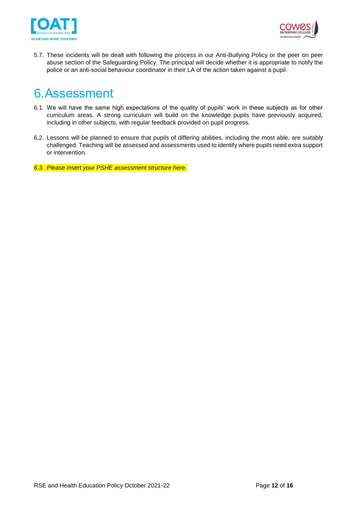



5.7. These incidents will be dealt with following the process in our Anti-Bullying Policy or the peer on peer abuse section of the Safeguarding Policy. The principal will decide whether it is appropriate to notify the police or an anti-social behaviour coordinator in their LA of the action taken against a pupil.

# <span id="page-11-0"></span>6.Assessment

- 6.1. We will have the same high expectations of the quality of pupils' work in these subjects as for other curriculum areas. A strong curriculum will build on the knowledge pupils have previously acquired, including in other subjects, with regular feedback provided on pupil progress.
- 6.2. Lessons will be planned to ensure that pupils of differing abilities, including the most able, are suitably challenged. Teaching will be assessed and assessments used to identify where pupils need extra support or intervention.
- *6.3. Please insert your PSHE assessment structure here.*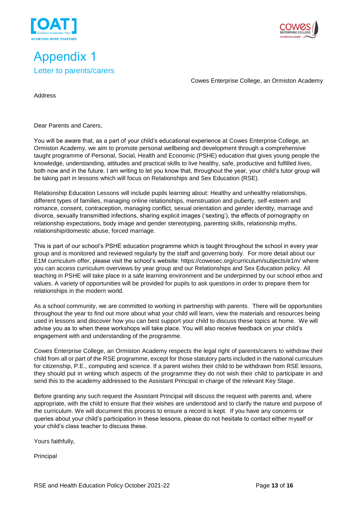

# <span id="page-12-1"></span><span id="page-12-0"></span>Appendix 1 Letter to parents/carers



Cowes Enterprise College, an Ormiston Academy

Address

Dear Parents and Carers,

You will be aware that, as a part of your child's educational experience at Cowes Enterprise College, an Ormiston Academy, we aim to promote personal wellbeing and development through a comprehensive taught programme of Personal, Social, Health and Economic (PSHE) education that gives young people the knowledge, understanding, attitudes and practical skills to live healthy, safe, productive and fulfilled lives, both now and in the future. I am writing to let you know that, throughout the year, your child's tutor group will be taking part in lessons which will focus on Relationships and Sex Education (RSE).

Relationship Education Lessons will include pupils learning about: Healthy and unhealthy relationships, different types of families, managing online relationships, menstruation and puberty, self-esteem and romance, consent, contraception, managing conflict, sexual orientation and gender identity, marriage and divorce, sexually transmitted infections, sharing explicit images ('sexting'), the effects of pornography on relationship expectations, body image and gender stereotyping, parenting skills, relationship myths, relationship/domestic abuse, forced marriage.

This is part of our school's PSHE education programme which is taught throughout the school in every year group and is monitored and reviewed regularly by the staff and governing body. For more detail about our E1M curriculum offer, please visit the school's website: https://cowesec.org/curriculum/subjects/e1m/ where you can access curriculum overviews by year group and our Relationships and Sex Education policy. All teaching in PSHE will take place in a safe learning environment and be underpinned by our school ethos and values. A variety of opportunities will be provided for pupils to ask questions in order to prepare them for relationships in the modern world.

As a school community, we are committed to working in partnership with parents. There will be opportunities throughout the year to find out more about what your child will learn, view the materials and resources being used in lessons and discover how you can best support your child to discuss these topics at home. We will advise you as to when these workshops will take place. You will also receive feedback on your child's engagement with and understanding of the programme.

Cowes Enterprise College, an Ormiston Academy respects the legal right of parents/carers to withdraw their child from all or part of the RSE programme, except for those statutory parts included in the national curriculum for citizenship, P.E., computing and science. If a parent wishes their child to be withdrawn from RSE lessons, they should put in writing which aspects of the programme they do not wish their child to participate in and send this to the academy addressed to the Assistant Principal in charge of the relevant Key Stage.

Before granting any such request the Assistant Principal will discuss the request with parents and, where appropriate, with the child to ensure that their wishes are understood and to clarify the nature and purpose of the curriculum. We will document this process to ensure a record is kept. If you have any concerns or queries about your child's participation in these lessons, please do not hesitate to contact either myself or your child's class teacher to discuss these.

Yours faithfully,

Principal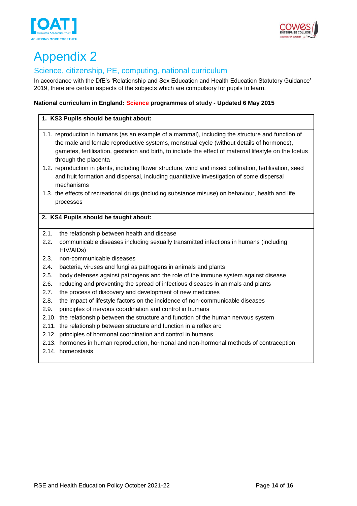# <span id="page-13-0"></span>Appendix 2

# <span id="page-13-1"></span>Science, citizenship, PE, computing, national curriculum

In accordance with the DfE's 'Relationship and Sex Education and Health Education Statutory Guidance' 2019, there are certain aspects of the subjects which are compulsory for pupils to learn.

## **National curriculum in England: Science programmes of study - Updated 6 May 2015**

# **1. KS3 Pupils should be taught about:**

- 1.1. reproduction in humans (as an example of a mammal), including the structure and function of the male and female reproductive systems, menstrual cycle (without details of hormones), gametes, fertilisation, gestation and birth, to include the effect of maternal lifestyle on the foetus through the placenta
- 1.2. reproduction in plants, including flower structure, wind and insect pollination, fertilisation, seed and fruit formation and dispersal, including quantitative investigation of some dispersal mechanisms
- 1.3. the effects of recreational drugs (including substance misuse) on behaviour, health and life processes

## **2. KS4 Pupils should be taught about:**

- 2.1. the relationship between health and disease
- 2.2. communicable diseases including sexually transmitted infections in humans (including HIV/AIDs)
- 2.3. non-communicable diseases
- 2.4. bacteria, viruses and fungi as pathogens in animals and plants
- 2.5. body defenses against pathogens and the role of the immune system against disease
- 2.6. reducing and preventing the spread of infectious diseases in animals and plants
- 2.7. the process of discovery and development of new medicines
- 2.8. the impact of lifestyle factors on the incidence of non-communicable diseases
- 2.9. principles of nervous coordination and control in humans
- 2.10. the relationship between the structure and function of the human nervous system
- 2.11. the relationship between structure and function in a reflex arc
- 2.12. principles of hormonal coordination and control in humans
- 2.13. hormones in human reproduction, hormonal and non-hormonal methods of contraception
- 2.14. homeostasis



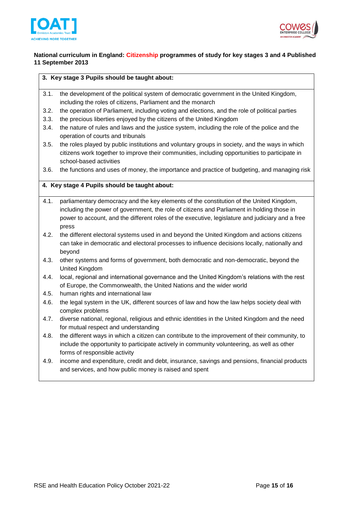



### **National curriculum in England: Citizenship programmes of study for key stages 3 and 4 Published 11 September 2013**

#### **3. Key stage 3 Pupils should be taught about:**

- 3.1. the development of the political system of democratic government in the United Kingdom, including the roles of citizens, Parliament and the monarch
- 3.2. the operation of Parliament, including voting and elections, and the role of political parties
- 3.3. the precious liberties enjoyed by the citizens of the United Kingdom
- 3.4. the nature of rules and laws and the justice system, including the role of the police and the operation of courts and tribunals
- 3.5. the roles played by public institutions and voluntary groups in society, and the ways in which citizens work together to improve their communities, including opportunities to participate in school-based activities
- 3.6. the functions and uses of money, the importance and practice of budgeting, and managing risk

### **4. Key stage 4 Pupils should be taught about:**

- 4.1. parliamentary democracy and the key elements of the constitution of the United Kingdom, including the power of government, the role of citizens and Parliament in holding those in power to account, and the different roles of the executive, legislature and judiciary and a free press
- 4.2. the different electoral systems used in and beyond the United Kingdom and actions citizens can take in democratic and electoral processes to influence decisions locally, nationally and beyond
- 4.3. other systems and forms of government, both democratic and non-democratic, beyond the United Kingdom
- 4.4. local, regional and international governance and the United Kingdom's relations with the rest of Europe, the Commonwealth, the United Nations and the wider world
- 4.5. human rights and international law
- 4.6. the legal system in the UK, different sources of law and how the law helps society deal with complex problems
- 4.7. diverse national, regional, religious and ethnic identities in the United Kingdom and the need for mutual respect and understanding
- 4.8. the different ways in which a citizen can contribute to the improvement of their community, to include the opportunity to participate actively in community volunteering, as well as other forms of responsible activity
- 4.9. income and expenditure, credit and debt, insurance, savings and pensions, financial products and services, and how public money is raised and spent